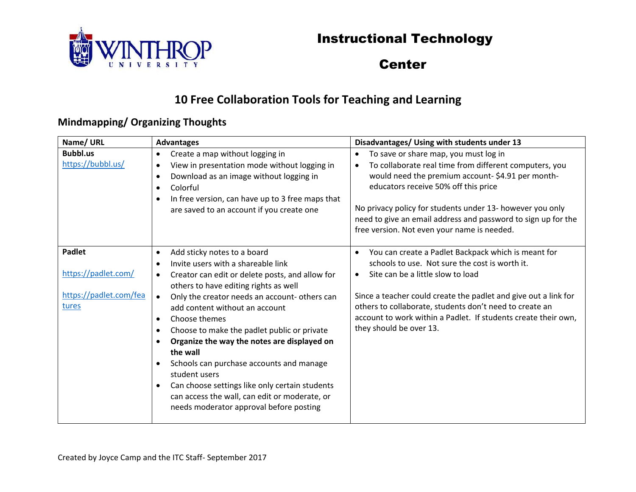



#### **Center**

### **10 Free Collaboration Tools for Teaching and Learning**

#### **Mindmapping/ Organizing Thoughts**

| Name/ URL                                                               | <b>Advantages</b>                                                                                                                                                                                                                                                                                                                                                                                                                                                                                                                                                                                                                                                 | Disadvantages/ Using with students under 13                                                                                                                                                                                                                                                                                                                                                        |
|-------------------------------------------------------------------------|-------------------------------------------------------------------------------------------------------------------------------------------------------------------------------------------------------------------------------------------------------------------------------------------------------------------------------------------------------------------------------------------------------------------------------------------------------------------------------------------------------------------------------------------------------------------------------------------------------------------------------------------------------------------|----------------------------------------------------------------------------------------------------------------------------------------------------------------------------------------------------------------------------------------------------------------------------------------------------------------------------------------------------------------------------------------------------|
| <b>Bubbl.us</b><br>https://bubbl.us/                                    | Create a map without logging in<br>$\bullet$<br>View in presentation mode without logging in<br>$\bullet$<br>Download as an image without logging in<br>$\bullet$<br>Colorful<br>$\bullet$<br>In free version, can have up to 3 free maps that<br>$\bullet$<br>are saved to an account if you create one                                                                                                                                                                                                                                                                                                                                                          | To save or share map, you must log in<br>$\bullet$<br>To collaborate real time from different computers, you<br>$\bullet$<br>would need the premium account-\$4.91 per month-<br>educators receive 50% off this price<br>No privacy policy for students under 13- however you only<br>need to give an email address and password to sign up for the<br>free version. Not even your name is needed. |
| <b>Padlet</b><br>https://padlet.com/<br>https://padlet.com/fea<br>tures | Add sticky notes to a board<br>٠<br>Invite users with a shareable link<br>$\bullet$<br>Creator can edit or delete posts, and allow for<br>$\bullet$<br>others to have editing rights as well<br>Only the creator needs an account- others can<br>$\bullet$<br>add content without an account<br>Choose themes<br>$\bullet$<br>Choose to make the padlet public or private<br>٠<br>Organize the way the notes are displayed on<br>the wall<br>Schools can purchase accounts and manage<br>student users<br>Can choose settings like only certain students<br>$\bullet$<br>can access the wall, can edit or moderate, or<br>needs moderator approval before posting | You can create a Padlet Backpack which is meant for<br>$\bullet$<br>schools to use. Not sure the cost is worth it.<br>Site can be a little slow to load<br>$\bullet$<br>Since a teacher could create the padlet and give out a link for<br>others to collaborate, students don't need to create an<br>account to work within a Padlet. If students create their own,<br>they should be over 13.    |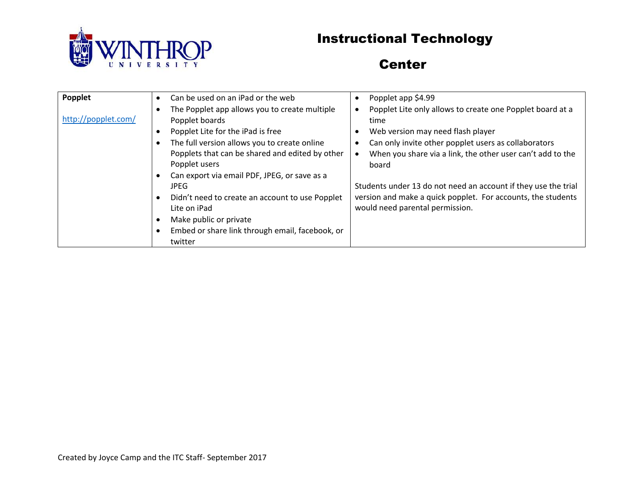

### **Center**

| Popplet             | Can be used on an iPad or the web<br>The Popplet app allows you to create multiple                                                                                                                                                                                                                                                                                                                | Popplet app \$4.99<br>$\bullet$<br>Popplet Lite only allows to create one Popplet board at a<br>$\bullet$                                                                                                                                                                                                                                                       |
|---------------------|---------------------------------------------------------------------------------------------------------------------------------------------------------------------------------------------------------------------------------------------------------------------------------------------------------------------------------------------------------------------------------------------------|-----------------------------------------------------------------------------------------------------------------------------------------------------------------------------------------------------------------------------------------------------------------------------------------------------------------------------------------------------------------|
| http://popplet.com/ | Popplet boards<br>Popplet Lite for the iPad is free<br>The full version allows you to create online<br>Popplets that can be shared and edited by other<br>Popplet users<br>Can export via email PDF, JPEG, or save as a<br><b>JPEG</b><br>Didn't need to create an account to use Popplet<br>Lite on iPad<br>Make public or private<br>Embed or share link through email, facebook, or<br>twitter | time<br>Web version may need flash player<br>٠<br>Can only invite other popplet users as collaborators<br>When you share via a link, the other user can't add to the<br>$\bullet$<br>board<br>Students under 13 do not need an account if they use the trial<br>version and make a quick popplet. For accounts, the students<br>would need parental permission. |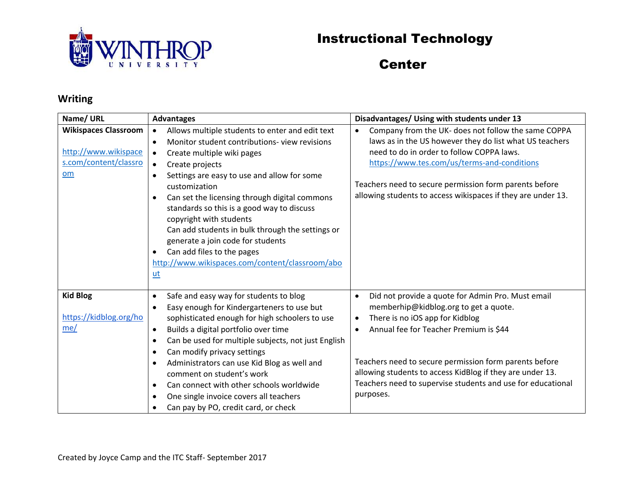

### Center

#### **Writing**

| Name/ URL                   | <b>Advantages</b>                                                | Disadvantages/ Using with students under 13                      |
|-----------------------------|------------------------------------------------------------------|------------------------------------------------------------------|
| <b>Wikispaces Classroom</b> | Allows multiple students to enter and edit text<br>$\bullet$     | Company from the UK- does not follow the same COPPA<br>$\bullet$ |
|                             | Monitor student contributions-view revisions<br>$\bullet$        | laws as in the US however they do list what US teachers          |
| http://www.wikispace        | Create multiple wiki pages<br>$\bullet$                          | need to do in order to follow COPPA laws.                        |
| s.com/content/classro       | Create projects                                                  | https://www.tes.com/us/terms-and-conditions                      |
| om                          | Settings are easy to use and allow for some<br>$\bullet$         |                                                                  |
|                             | customization                                                    | Teachers need to secure permission form parents before           |
|                             | Can set the licensing through digital commons<br>$\bullet$       | allowing students to access wikispaces if they are under 13.     |
|                             | standards so this is a good way to discuss                       |                                                                  |
|                             | copyright with students                                          |                                                                  |
|                             | Can add students in bulk through the settings or                 |                                                                  |
|                             | generate a join code for students                                |                                                                  |
|                             | Can add files to the pages<br>$\bullet$                          |                                                                  |
|                             | http://www.wikispaces.com/content/classroom/abo                  |                                                                  |
|                             | ut                                                               |                                                                  |
|                             |                                                                  |                                                                  |
| <b>Kid Blog</b>             | Safe and easy way for students to blog<br>$\bullet$              | Did not provide a quote for Admin Pro. Must email<br>$\bullet$   |
|                             | Easy enough for Kindergarteners to use but<br>$\bullet$          | memberhip@kidblog.org to get a quote.                            |
| https://kidblog.org/ho      | sophisticated enough for high schoolers to use                   | There is no iOS app for Kidblog<br>$\bullet$                     |
| me/                         | Builds a digital portfolio over time<br>$\bullet$                | Annual fee for Teacher Premium is \$44<br>$\bullet$              |
|                             | Can be used for multiple subjects, not just English<br>$\bullet$ |                                                                  |
|                             | Can modify privacy settings<br>$\bullet$                         |                                                                  |
|                             | Administrators can use Kid Blog as well and<br>$\bullet$         | Teachers need to secure permission form parents before           |
|                             | comment on student's work                                        | allowing students to access KidBlog if they are under 13.        |
|                             | Can connect with other schools worldwide<br>$\bullet$            | Teachers need to supervise students and use for educational      |
|                             | One single invoice covers all teachers<br>$\bullet$              | purposes.                                                        |
|                             | Can pay by PO, credit card, or check                             |                                                                  |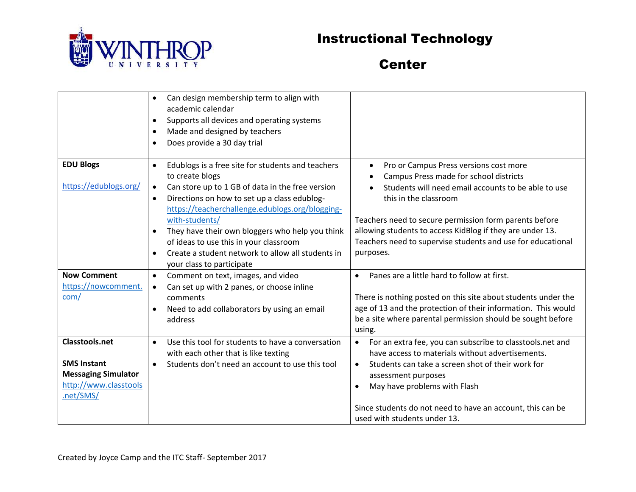

**Center** 

|                            | Can design membership term to align with<br>$\bullet$          |                                                                        |
|----------------------------|----------------------------------------------------------------|------------------------------------------------------------------------|
|                            | academic calendar                                              |                                                                        |
|                            | Supports all devices and operating systems<br>$\bullet$        |                                                                        |
|                            |                                                                |                                                                        |
|                            | Made and designed by teachers<br>$\bullet$                     |                                                                        |
|                            | Does provide a 30 day trial<br>$\bullet$                       |                                                                        |
|                            |                                                                |                                                                        |
| <b>EDU Blogs</b>           | Edublogs is a free site for students and teachers<br>$\bullet$ | Pro or Campus Press versions cost more<br>$\bullet$                    |
|                            | to create blogs                                                | Campus Press made for school districts                                 |
| https://edublogs.org/      | Can store up to 1 GB of data in the free version<br>$\bullet$  | Students will need email accounts to be able to use                    |
|                            | Directions on how to set up a class edublog-<br>$\bullet$      | this in the classroom                                                  |
|                            | https://teacherchallenge.edublogs.org/blogging-                |                                                                        |
|                            | with-students/                                                 | Teachers need to secure permission form parents before                 |
|                            | They have their own bloggers who help you think<br>$\bullet$   | allowing students to access KidBlog if they are under 13.              |
|                            | of ideas to use this in your classroom                         | Teachers need to supervise students and use for educational            |
|                            | Create a student network to allow all students in<br>$\bullet$ | purposes.                                                              |
|                            | your class to participate                                      |                                                                        |
| <b>Now Comment</b>         | Comment on text, images, and video<br>$\bullet$                | Panes are a little hard to follow at first.                            |
| https://nowcomment.        | Can set up with 2 panes, or choose inline<br>$\bullet$         |                                                                        |
| com/                       | comments                                                       | There is nothing posted on this site about students under the          |
|                            | Need to add collaborators by using an email<br>$\bullet$       | age of 13 and the protection of their information. This would          |
|                            | address                                                        | be a site where parental permission should be sought before            |
|                            |                                                                | using.                                                                 |
| <b>Classtools.net</b>      | Use this tool for students to have a conversation<br>$\bullet$ | For an extra fee, you can subscribe to classtools.net and<br>$\bullet$ |
|                            | with each other that is like texting                           | have access to materials without advertisements.                       |
| <b>SMS Instant</b>         | Students don't need an account to use this tool<br>$\bullet$   | Students can take a screen shot of their work for<br>$\bullet$         |
| <b>Messaging Simulator</b> |                                                                | assessment purposes                                                    |
| http://www.classtools      |                                                                | May have problems with Flash                                           |
| .net/SMS/                  |                                                                |                                                                        |
|                            |                                                                | Since students do not need to have an account, this can be             |
|                            |                                                                | used with students under 13.                                           |